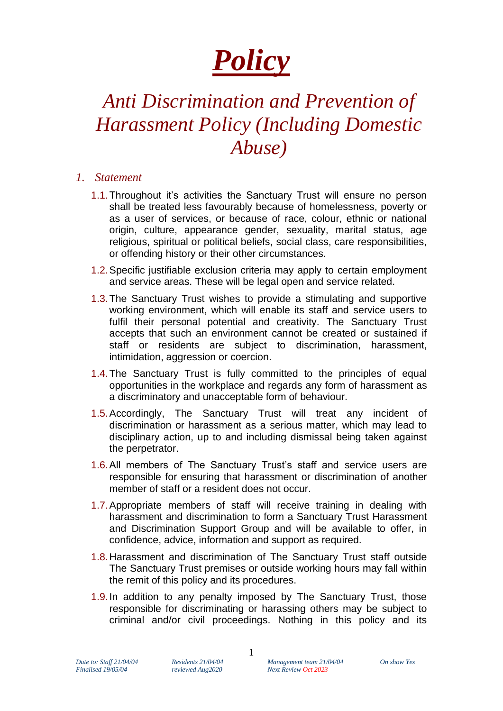# *Policy*

## *Anti Discrimination and Prevention of Harassment Policy (Including Domestic Abuse)*

#### *1. Statement*

- 1.1.Throughout it's activities the Sanctuary Trust will ensure no person shall be treated less favourably because of homelessness, poverty or as a user of services, or because of race, colour, ethnic or national origin, culture, appearance gender, sexuality, marital status, age religious, spiritual or political beliefs, social class, care responsibilities, or offending history or their other circumstances.
- 1.2.Specific justifiable exclusion criteria may apply to certain employment and service areas. These will be legal open and service related.
- 1.3.The Sanctuary Trust wishes to provide a stimulating and supportive working environment, which will enable its staff and service users to fulfil their personal potential and creativity. The Sanctuary Trust accepts that such an environment cannot be created or sustained if staff or residents are subject to discrimination, harassment, intimidation, aggression or coercion.
- 1.4.The Sanctuary Trust is fully committed to the principles of equal opportunities in the workplace and regards any form of harassment as a discriminatory and unacceptable form of behaviour.
- 1.5.Accordingly, The Sanctuary Trust will treat any incident of discrimination or harassment as a serious matter, which may lead to disciplinary action, up to and including dismissal being taken against the perpetrator.
- 1.6.All members of The Sanctuary Trust's staff and service users are responsible for ensuring that harassment or discrimination of another member of staff or a resident does not occur.
- 1.7.Appropriate members of staff will receive training in dealing with harassment and discrimination to form a Sanctuary Trust Harassment and Discrimination Support Group and will be available to offer, in confidence, advice, information and support as required.
- 1.8.Harassment and discrimination of The Sanctuary Trust staff outside The Sanctuary Trust premises or outside working hours may fall within the remit of this policy and its procedures.
- 1.9.In addition to any penalty imposed by The Sanctuary Trust, those responsible for discriminating or harassing others may be subject to criminal and/or civil proceedings. Nothing in this policy and its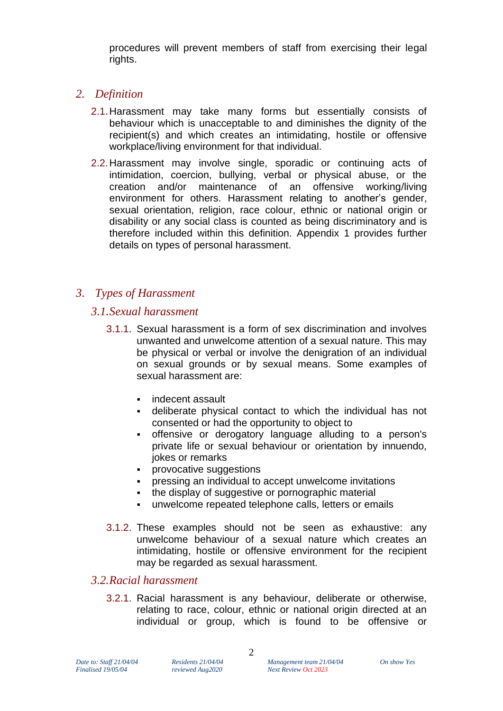procedures will prevent members of staff from exercising their legal rights.

#### *2. Definition*

- 2.1.Harassment may take many forms but essentially consists of behaviour which is unacceptable to and diminishes the dignity of the recipient(s) and which creates an intimidating, hostile or offensive workplace/living environment for that individual.
- 2.2.Harassment may involve single, sporadic or continuing acts of intimidation, coercion, bullying, verbal or physical abuse, or the creation and/or maintenance of an offensive working/living environment for others. Harassment relating to another's gender, sexual orientation, religion, race colour, ethnic or national origin or disability or any social class is counted as being discriminatory and is therefore included within this definition. Appendix 1 provides further details on types of personal harassment.

#### *3. Types of Harassment*

#### *3.1.Sexual harassment*

- 3.1.1. Sexual harassment is a form of sex discrimination and involves unwanted and unwelcome attention of a sexual nature. This may be physical or verbal or involve the denigration of an individual on sexual grounds or by sexual means. Some examples of sexual harassment are:
	- indecent assault
	- deliberate physical contact to which the individual has not consented or had the opportunity to object to
	- offensive or derogatory language alluding to a person's private life or sexual behaviour or orientation by innuendo, jokes or remarks
	- provocative suggestions
	- **•** pressing an individual to accept unwelcome invitations
	- the display of suggestive or pornographic material
	- unwelcome repeated telephone calls, letters or emails
- 3.1.2. These examples should not be seen as exhaustive: any unwelcome behaviour of a sexual nature which creates an intimidating, hostile or offensive environment for the recipient may be regarded as sexual harassment.

#### *3.2.Racial harassment*

3.2.1. Racial harassment is any behaviour, deliberate or otherwise, relating to race, colour, ethnic or national origin directed at an individual or group, which is found to be offensive or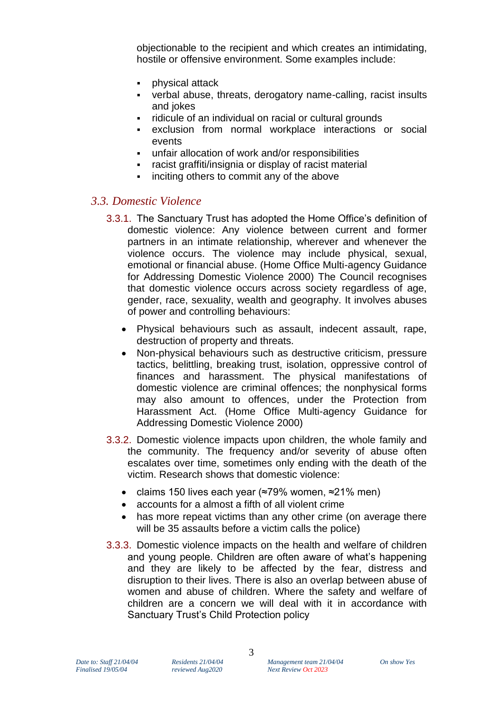objectionable to the recipient and which creates an intimidating, hostile or offensive environment. Some examples include:

- physical attack
- verbal abuse, threats, derogatory name-calling, racist insults and jokes
- ridicule of an individual on racial or cultural grounds
- exclusion from normal workplace interactions or social events
- unfair allocation of work and/or responsibilities
- racist graffiti/insignia or display of racist material
- inciting others to commit any of the above

#### *3.3. Domestic Violence*

- 3.3.1. The Sanctuary Trust has adopted the Home Office's definition of domestic violence: Any violence between current and former partners in an intimate relationship, wherever and whenever the violence occurs. The violence may include physical, sexual, emotional or financial abuse. (Home Office Multi-agency Guidance for Addressing Domestic Violence 2000) The Council recognises that domestic violence occurs across society regardless of age, gender, race, sexuality, wealth and geography. It involves abuses of power and controlling behaviours:
	- Physical behaviours such as assault, indecent assault, rape, destruction of property and threats.
	- Non-physical behaviours such as destructive criticism, pressure tactics, belittling, breaking trust, isolation, oppressive control of finances and harassment. The physical manifestations of domestic violence are criminal offences; the nonphysical forms may also amount to offences, under the Protection from Harassment Act. (Home Office Multi-agency Guidance for Addressing Domestic Violence 2000)
- 3.3.2. Domestic violence impacts upon children, the whole family and the community. The frequency and/or severity of abuse often escalates over time, sometimes only ending with the death of the victim. Research shows that domestic violence:
	- claims 150 lives each year (≈79% women, ≈21% men)
	- accounts for a almost a fifth of all violent crime
	- has more repeat victims than any other crime (on average there will be 35 assaults before a victim calls the police)
- 3.3.3. Domestic violence impacts on the health and welfare of children and young people. Children are often aware of what's happening and they are likely to be affected by the fear, distress and disruption to their lives. There is also an overlap between abuse of women and abuse of children. Where the safety and welfare of children are a concern we will deal with it in accordance with Sanctuary Trust's Child Protection policy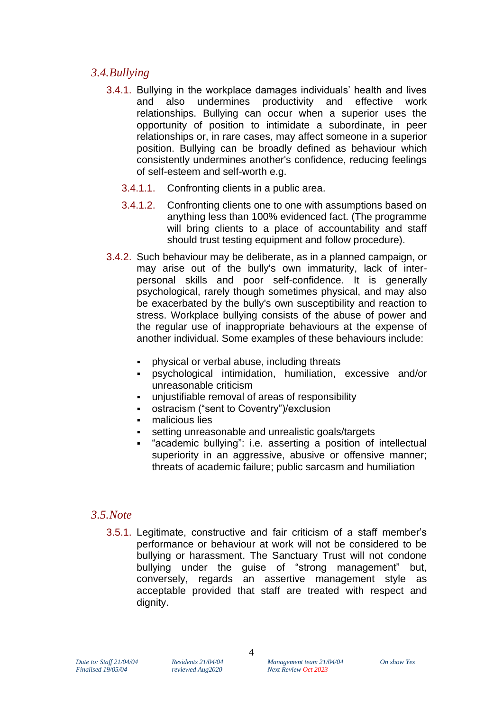#### *3.4.Bullying*

- 3.4.1. Bullying in the workplace damages individuals' health and lives and also undermines productivity and effective work relationships. Bullying can occur when a superior uses the opportunity of position to intimidate a subordinate, in peer relationships or, in rare cases, may affect someone in a superior position. Bullying can be broadly defined as behaviour which consistently undermines another's confidence, reducing feelings of self-esteem and self-worth e.g.
	- 3.4.1.1. Confronting clients in a public area.
	- 3.4.1.2. Confronting clients one to one with assumptions based on anything less than 100% evidenced fact. (The programme will bring clients to a place of accountability and staff should trust testing equipment and follow procedure).
- 3.4.2. Such behaviour may be deliberate, as in a planned campaign, or may arise out of the bully's own immaturity, lack of interpersonal skills and poor self-confidence. It is generally psychological, rarely though sometimes physical, and may also be exacerbated by the bully's own susceptibility and reaction to stress. Workplace bullying consists of the abuse of power and the regular use of inappropriate behaviours at the expense of another individual. Some examples of these behaviours include:
	- **•** physical or verbal abuse, including threats
	- psychological intimidation, humiliation, excessive and/or unreasonable criticism
	- unjustifiable removal of areas of responsibility
	- ostracism ("sent to Coventry")/exclusion
	- malicious lies
	- setting unreasonable and unrealistic goals/targets
	- "academic bullying": i.e. asserting a position of intellectual superiority in an aggressive, abusive or offensive manner; threats of academic failure; public sarcasm and humiliation

#### *3.5.Note*

3.5.1. Legitimate, constructive and fair criticism of a staff member's performance or behaviour at work will not be considered to be bullying or harassment. The Sanctuary Trust will not condone bullying under the guise of "strong management" but, conversely, regards an assertive management style as acceptable provided that staff are treated with respect and dignity.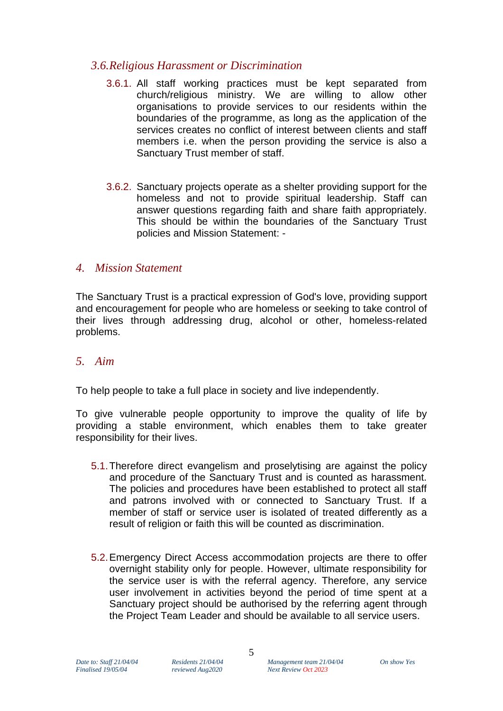#### *3.6.Religious Harassment or Discrimination*

- 3.6.1. All staff working practices must be kept separated from church/religious ministry. We are willing to allow other organisations to provide services to our residents within the boundaries of the programme, as long as the application of the services creates no conflict of interest between clients and staff members i.e. when the person providing the service is also a Sanctuary Trust member of staff.
- 3.6.2. Sanctuary projects operate as a shelter providing support for the homeless and not to provide spiritual leadership. Staff can answer questions regarding faith and share faith appropriately. This should be within the boundaries of the Sanctuary Trust policies and Mission Statement: -

#### *4. Mission Statement*

The Sanctuary Trust is a practical expression of God's love, providing support and encouragement for people who are homeless or seeking to take control of their lives through addressing drug, alcohol or other, homeless-related problems.

#### *5. Aim*

To help people to take a full place in society and live independently.

To give vulnerable people opportunity to improve the quality of life by providing a stable environment, which enables them to take greater responsibility for their lives.

- 5.1.Therefore direct evangelism and proselytising are against the policy and procedure of the Sanctuary Trust and is counted as harassment. The policies and procedures have been established to protect all staff and patrons involved with or connected to Sanctuary Trust. If a member of staff or service user is isolated of treated differently as a result of religion or faith this will be counted as discrimination.
- 5.2.Emergency Direct Access accommodation projects are there to offer overnight stability only for people. However, ultimate responsibility for the service user is with the referral agency. Therefore, any service user involvement in activities beyond the period of time spent at a Sanctuary project should be authorised by the referring agent through the Project Team Leader and should be available to all service users.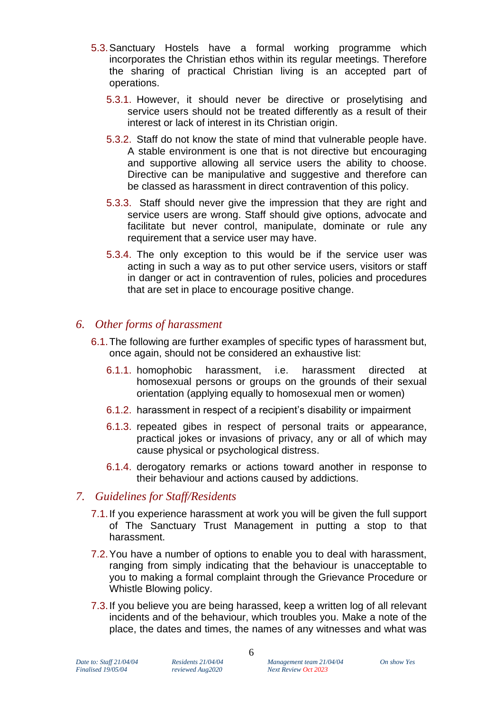- 5.3.Sanctuary Hostels have a formal working programme which incorporates the Christian ethos within its regular meetings. Therefore the sharing of practical Christian living is an accepted part of operations.
	- 5.3.1. However, it should never be directive or proselytising and service users should not be treated differently as a result of their interest or lack of interest in its Christian origin.
	- 5.3.2. Staff do not know the state of mind that vulnerable people have. A stable environment is one that is not directive but encouraging and supportive allowing all service users the ability to choose. Directive can be manipulative and suggestive and therefore can be classed as harassment in direct contravention of this policy.
	- 5.3.3. Staff should never give the impression that they are right and service users are wrong. Staff should give options, advocate and facilitate but never control, manipulate, dominate or rule any requirement that a service user may have.
	- 5.3.4. The only exception to this would be if the service user was acting in such a way as to put other service users, visitors or staff in danger or act in contravention of rules, policies and procedures that are set in place to encourage positive change.

#### *6. Other forms of harassment*

- 6.1.The following are further examples of specific types of harassment but, once again, should not be considered an exhaustive list:
	- 6.1.1. homophobic harassment, i.e. harassment directed at homosexual persons or groups on the grounds of their sexual orientation (applying equally to homosexual men or women)
	- 6.1.2. harassment in respect of a recipient's disability or impairment
	- 6.1.3. repeated gibes in respect of personal traits or appearance, practical jokes or invasions of privacy, any or all of which may cause physical or psychological distress.
	- 6.1.4. derogatory remarks or actions toward another in response to their behaviour and actions caused by addictions.

#### *7. Guidelines for Staff/Residents*

- 7.1.If you experience harassment at work you will be given the full support of The Sanctuary Trust Management in putting a stop to that harassment.
- 7.2.You have a number of options to enable you to deal with harassment, ranging from simply indicating that the behaviour is unacceptable to you to making a formal complaint through the Grievance Procedure or Whistle Blowing policy.
- 7.3.If you believe you are being harassed, keep a written log of all relevant incidents and of the behaviour, which troubles you. Make a note of the place, the dates and times, the names of any witnesses and what was

*Finalised 19/05/04 reviewed Aug2020 Next Review Oct 2023*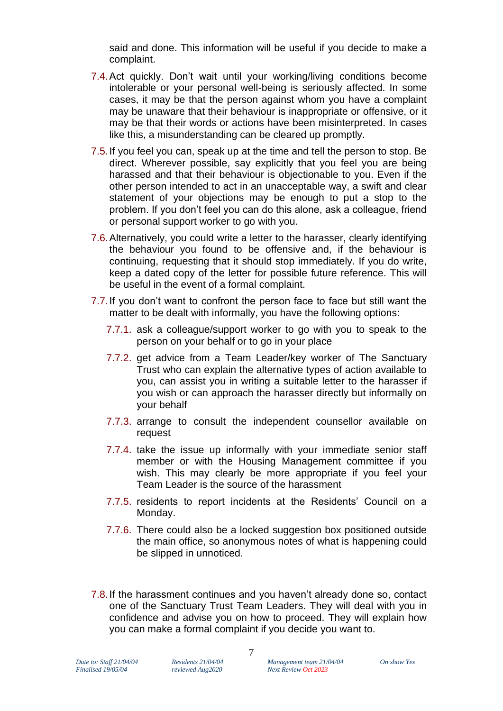said and done. This information will be useful if you decide to make a complaint.

- 7.4.Act quickly. Don't wait until your working/living conditions become intolerable or your personal well-being is seriously affected. In some cases, it may be that the person against whom you have a complaint may be unaware that their behaviour is inappropriate or offensive, or it may be that their words or actions have been misinterpreted. In cases like this, a misunderstanding can be cleared up promptly.
- 7.5.If you feel you can, speak up at the time and tell the person to stop. Be direct. Wherever possible, say explicitly that you feel you are being harassed and that their behaviour is objectionable to you. Even if the other person intended to act in an unacceptable way, a swift and clear statement of your objections may be enough to put a stop to the problem. If you don't feel you can do this alone, ask a colleague, friend or personal support worker to go with you.
- 7.6.Alternatively, you could write a letter to the harasser, clearly identifying the behaviour you found to be offensive and, if the behaviour is continuing, requesting that it should stop immediately. If you do write, keep a dated copy of the letter for possible future reference. This will be useful in the event of a formal complaint.
- 7.7.If you don't want to confront the person face to face but still want the matter to be dealt with informally, you have the following options:
	- 7.7.1. ask a colleague/support worker to go with you to speak to the person on your behalf or to go in your place
	- 7.7.2. get advice from a Team Leader/key worker of The Sanctuary Trust who can explain the alternative types of action available to you, can assist you in writing a suitable letter to the harasser if you wish or can approach the harasser directly but informally on your behalf
	- 7.7.3. arrange to consult the independent counsellor available on request
	- 7.7.4. take the issue up informally with your immediate senior staff member or with the Housing Management committee if you wish. This may clearly be more appropriate if you feel your Team Leader is the source of the harassment
	- 7.7.5. residents to report incidents at the Residents' Council on a Monday.
	- 7.7.6. There could also be a locked suggestion box positioned outside the main office, so anonymous notes of what is happening could be slipped in unnoticed.
- 7.8.If the harassment continues and you haven't already done so, contact one of the Sanctuary Trust Team Leaders. They will deal with you in confidence and advise you on how to proceed. They will explain how you can make a formal complaint if you decide you want to.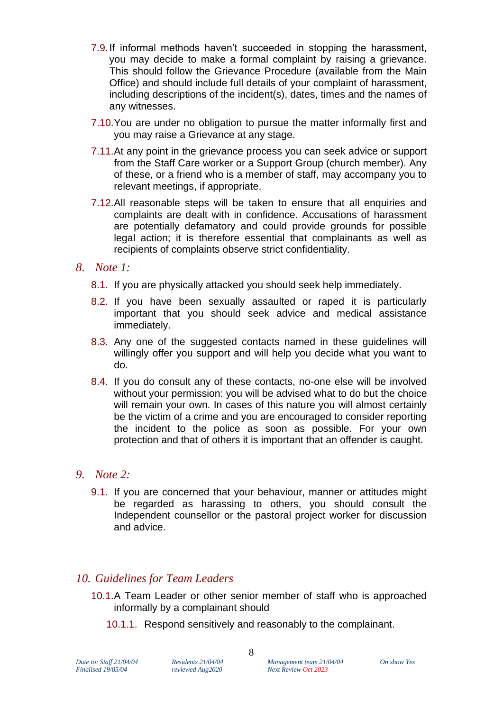- 7.9.If informal methods haven't succeeded in stopping the harassment, you may decide to make a formal complaint by raising a grievance. This should follow the Grievance Procedure (available from the Main Office) and should include full details of your complaint of harassment, including descriptions of the incident(s), dates, times and the names of any witnesses.
- 7.10.You are under no obligation to pursue the matter informally first and you may raise a Grievance at any stage.
- 7.11.At any point in the grievance process you can seek advice or support from the Staff Care worker or a Support Group (church member). Any of these, or a friend who is a member of staff, may accompany you to relevant meetings, if appropriate.
- 7.12.All reasonable steps will be taken to ensure that all enquiries and complaints are dealt with in confidence. Accusations of harassment are potentially defamatory and could provide grounds for possible legal action; it is therefore essential that complainants as well as recipients of complaints observe strict confidentiality.

#### *8. Note 1:*

- 8.1. If you are physically attacked you should seek help immediately.
- 8.2. If you have been sexually assaulted or raped it is particularly important that you should seek advice and medical assistance immediately.
- 8.3. Any one of the suggested contacts named in these guidelines will willingly offer you support and will help you decide what you want to do.
- 8.4. If you do consult any of these contacts, no-one else will be involved without your permission: you will be advised what to do but the choice will remain your own. In cases of this nature you will almost certainly be the victim of a crime and you are encouraged to consider reporting the incident to the police as soon as possible. For your own protection and that of others it is important that an offender is caught.

#### *9. Note 2:*

9.1. If you are concerned that your behaviour, manner or attitudes might be regarded as harassing to others, you should consult the Independent counsellor or the pastoral project worker for discussion and advice.

#### *10. Guidelines for Team Leaders*

- 10.1.A Team Leader or other senior member of staff who is approached informally by a complainant should
	- 10.1.1. Respond sensitively and reasonably to the complainant.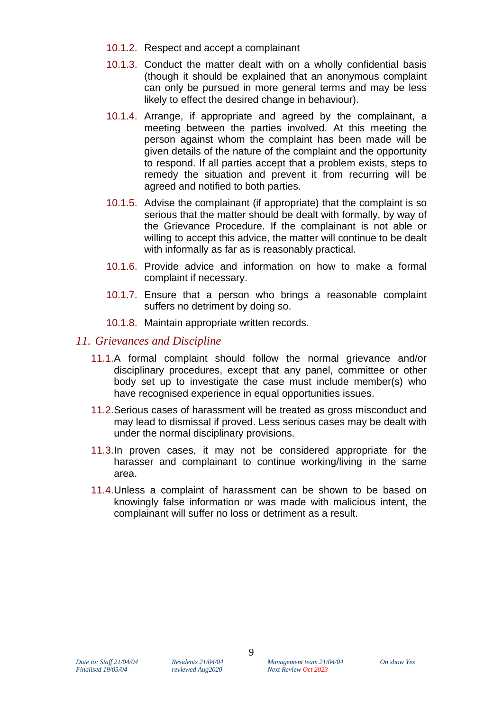- 10.1.2. Respect and accept a complainant
- 10.1.3. Conduct the matter dealt with on a wholly confidential basis (though it should be explained that an anonymous complaint can only be pursued in more general terms and may be less likely to effect the desired change in behaviour).
- 10.1.4. Arrange, if appropriate and agreed by the complainant, a meeting between the parties involved. At this meeting the person against whom the complaint has been made will be given details of the nature of the complaint and the opportunity to respond. If all parties accept that a problem exists, steps to remedy the situation and prevent it from recurring will be agreed and notified to both parties.
- 10.1.5. Advise the complainant (if appropriate) that the complaint is so serious that the matter should be dealt with formally, by way of the Grievance Procedure. If the complainant is not able or willing to accept this advice, the matter will continue to be dealt with informally as far as is reasonably practical.
- 10.1.6. Provide advice and information on how to make a formal complaint if necessary.
- 10.1.7. Ensure that a person who brings a reasonable complaint suffers no detriment by doing so.
- 10.1.8. Maintain appropriate written records.

#### *11. Grievances and Discipline*

- 11.1.A formal complaint should follow the normal grievance and/or disciplinary procedures, except that any panel, committee or other body set up to investigate the case must include member(s) who have recognised experience in equal opportunities issues.
- 11.2.Serious cases of harassment will be treated as gross misconduct and may lead to dismissal if proved. Less serious cases may be dealt with under the normal disciplinary provisions.
- 11.3.In proven cases, it may not be considered appropriate for the harasser and complainant to continue working/living in the same area.
- 11.4.Unless a complaint of harassment can be shown to be based on knowingly false information or was made with malicious intent, the complainant will suffer no loss or detriment as a result.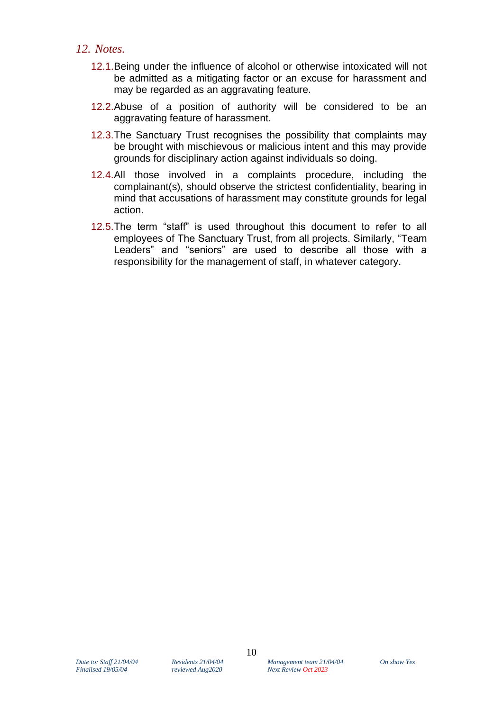#### *12. Notes.*

- 12.1.Being under the influence of alcohol or otherwise intoxicated will not be admitted as a mitigating factor or an excuse for harassment and may be regarded as an aggravating feature.
- 12.2.Abuse of a position of authority will be considered to be an aggravating feature of harassment.
- 12.3.The Sanctuary Trust recognises the possibility that complaints may be brought with mischievous or malicious intent and this may provide grounds for disciplinary action against individuals so doing.
- 12.4.All those involved in a complaints procedure, including the complainant(s), should observe the strictest confidentiality, bearing in mind that accusations of harassment may constitute grounds for legal action.
- 12.5.The term "staff" is used throughout this document to refer to all employees of The Sanctuary Trust, from all projects. Similarly, "Team Leaders" and "seniors" are used to describe all those with a responsibility for the management of staff, in whatever category.